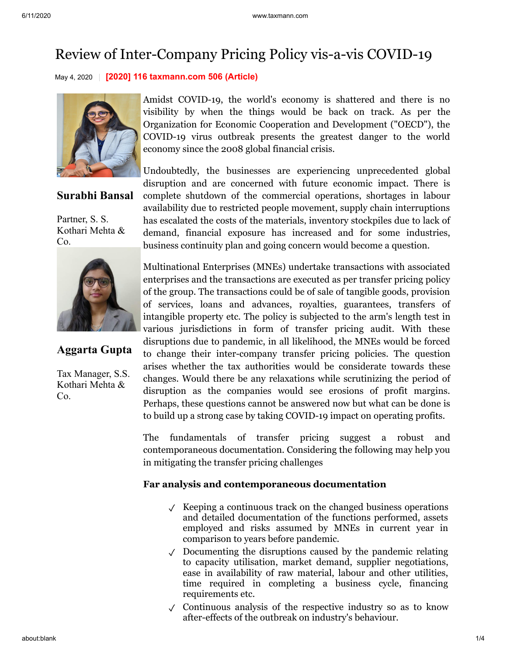# Review of Inter-Company Pricing Policy vis-a-vis COVID-19

May 4, 2020 **[2020] 116 taxmann.com 506 (Article)**



**Surabhi Bansal**

Partner, S. S. Kothari Mehta & Co.



## **Aggarta Gupta**

Tax Manager, S.S. Kothari Mehta & Co.

Amidst COVID-19, the world's economy is shattered and there is no visibility by when the things would be back on track. As per the Organization for Economic Cooperation and Development ("OECD"), the COVID-19 virus outbreak presents the greatest danger to the world economy since the 2008 global financial crisis.

Undoubtedly, the businesses are experiencing unprecedented global disruption and are concerned with future economic impact. There is complete shutdown of the commercial operations, shortages in labour availability due to restricted people movement, supply chain interruptions has escalated the costs of the materials, inventory stockpiles due to lack of demand, financial exposure has increased and for some industries, business continuity plan and going concern would become a question.

Multinational Enterprises (MNEs) undertake transactions with associated enterprises and the transactions are executed as per transfer pricing policy of the group. The transactions could be of sale of tangible goods, provision of services, loans and advances, royalties, guarantees, transfers of intangible property etc. The policy is subjected to the arm's length test in various jurisdictions in form of transfer pricing audit. With these disruptions due to pandemic, in all likelihood, the MNEs would be forced to change their inter-company transfer pricing policies. The question arises whether the tax authorities would be considerate towards these changes. Would there be any relaxations while scrutinizing the period of disruption as the companies would see erosions of profit margins. Perhaps, these questions cannot be answered now but what can be done is to build up a strong case by taking COVID-19 impact on operating profits.

The fundamentals of transfer pricing suggest a robust and contemporaneous documentation. Considering the following may help you in mitigating the transfer pricing challenges

#### **Far analysis and contemporaneous documentation**

- $\sqrt{\ }$  Keeping a continuous track on the changed business operations and detailed documentation of the functions performed, assets employed and risks assumed by MNEs in current year in comparison to years before pandemic.
- ✓ Documenting the disruptions caused by the pandemic relating to capacity utilisation, market demand, supplier negotiations, ease in availability of raw material, labour and other utilities, time required in completing a business cycle, financing requirements etc.
- ✓ Continuous analysis of the respective industry so as to know after-effects of the outbreak on industry's behaviour.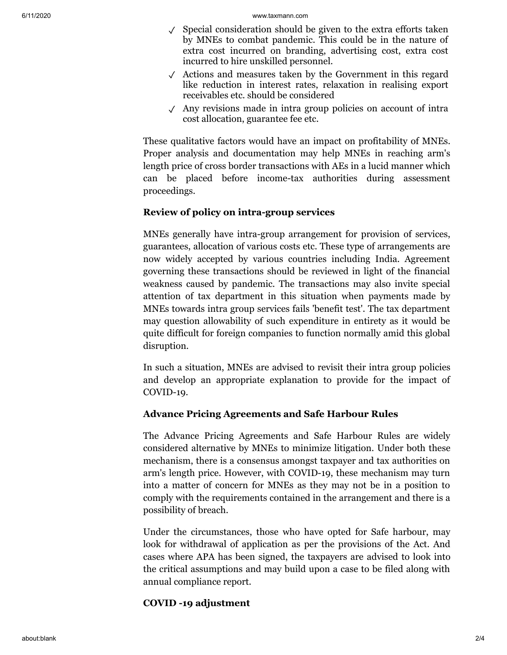- ✓ Special consideration should be given to the extra efforts taken by MNEs to combat pandemic. This could be in the nature of extra cost incurred on branding, advertising cost, extra cost incurred to hire unskilled personnel.
- ✓ Actions and measures taken by the Government in this regard like reduction in interest rates, relaxation in realising export receivables etc. should be considered
- ✓ Any revisions made in intra group policies on account of intra cost allocation, guarantee fee etc.

These qualitative factors would have an impact on profitability of MNEs. Proper analysis and documentation may help MNEs in reaching arm's length price of cross border transactions with AEs in a lucid manner which can be placed before income-tax authorities during assessment proceedings.

#### **Review of policy on intra-group services**

MNEs generally have intra-group arrangement for provision of services, guarantees, allocation of various costs etc. These type of arrangements are now widely accepted by various countries including India. Agreement governing these transactions should be reviewed in light of the financial weakness caused by pandemic. The transactions may also invite special attention of tax department in this situation when payments made by MNEs towards intra group services fails 'benefit test'. The tax department may question allowability of such expenditure in entirety as it would be quite difficult for foreign companies to function normally amid this global disruption.

In such a situation, MNEs are advised to revisit their intra group policies and develop an appropriate explanation to provide for the impact of COVID-19.

#### **Advance Pricing Agreements and Safe Harbour Rules**

The Advance Pricing Agreements and Safe Harbour Rules are widely considered alternative by MNEs to minimize litigation. Under both these mechanism, there is a consensus amongst taxpayer and tax authorities on arm's length price. However, with COVID-19, these mechanism may turn into a matter of concern for MNEs as they may not be in a position to comply with the requirements contained in the arrangement and there is a possibility of breach.

Under the circumstances, those who have opted for Safe harbour, may look for withdrawal of application as per the provisions of the Act. And cases where APA has been signed, the taxpayers are advised to look into the critical assumptions and may build upon a case to be filed along with annual compliance report.

#### **COVID -19 adjustment**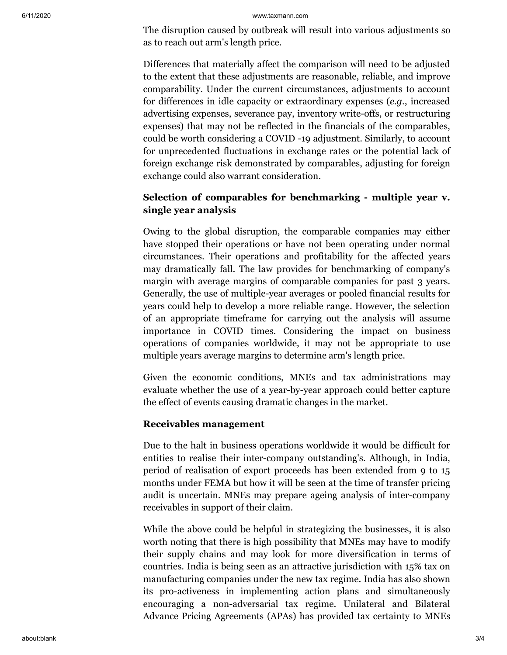#### 6/11/2020 www.taxmann.com

The disruption caused by outbreak will result into various adjustments so as to reach out arm's length price.

Differences that materially affect the comparison will need to be adjusted to the extent that these adjustments are reasonable, reliable, and improve comparability. Under the current circumstances, adjustments to account for differences in idle capacity or extraordinary expenses (*e.g.*, increased advertising expenses, severance pay, inventory write-offs, or restructuring expenses) that may not be reflected in the financials of the comparables, could be worth considering a COVID -19 adjustment. Similarly, to account for unprecedented fluctuations in exchange rates or the potential lack of foreign exchange risk demonstrated by comparables, adjusting for foreign exchange could also warrant consideration.

### **Selection of comparables for benchmarking - multiple year v. single year analysis**

Owing to the global disruption, the comparable companies may either have stopped their operations or have not been operating under normal circumstances. Their operations and profitability for the affected years may dramatically fall. The law provides for benchmarking of company's margin with average margins of comparable companies for past 3 years. Generally, the use of multiple-year averages or pooled financial results for years could help to develop a more reliable range. However, the selection of an appropriate timeframe for carrying out the analysis will assume importance in COVID times. Considering the impact on business operations of companies worldwide, it may not be appropriate to use multiple years average margins to determine arm's length price.

Given the economic conditions, MNEs and tax administrations may evaluate whether the use of a year-by-year approach could better capture the effect of events causing dramatic changes in the market.

#### **Receivables management**

Due to the halt in business operations worldwide it would be difficult for entities to realise their inter-company outstanding's. Although, in India, period of realisation of export proceeds has been extended from 9 to 15 months under FEMA but how it will be seen at the time of transfer pricing audit is uncertain. MNEs may prepare ageing analysis of inter-company receivables in support of their claim.

While the above could be helpful in strategizing the businesses, it is also worth noting that there is high possibility that MNEs may have to modify their supply chains and may look for more diversification in terms of countries. India is being seen as an attractive jurisdiction with 15% tax on manufacturing companies under the new tax regime. India has also shown its pro-activeness in implementing action plans and simultaneously encouraging a non-adversarial tax regime. Unilateral and Bilateral Advance Pricing Agreements (APAs) has provided tax certainty to MNEs